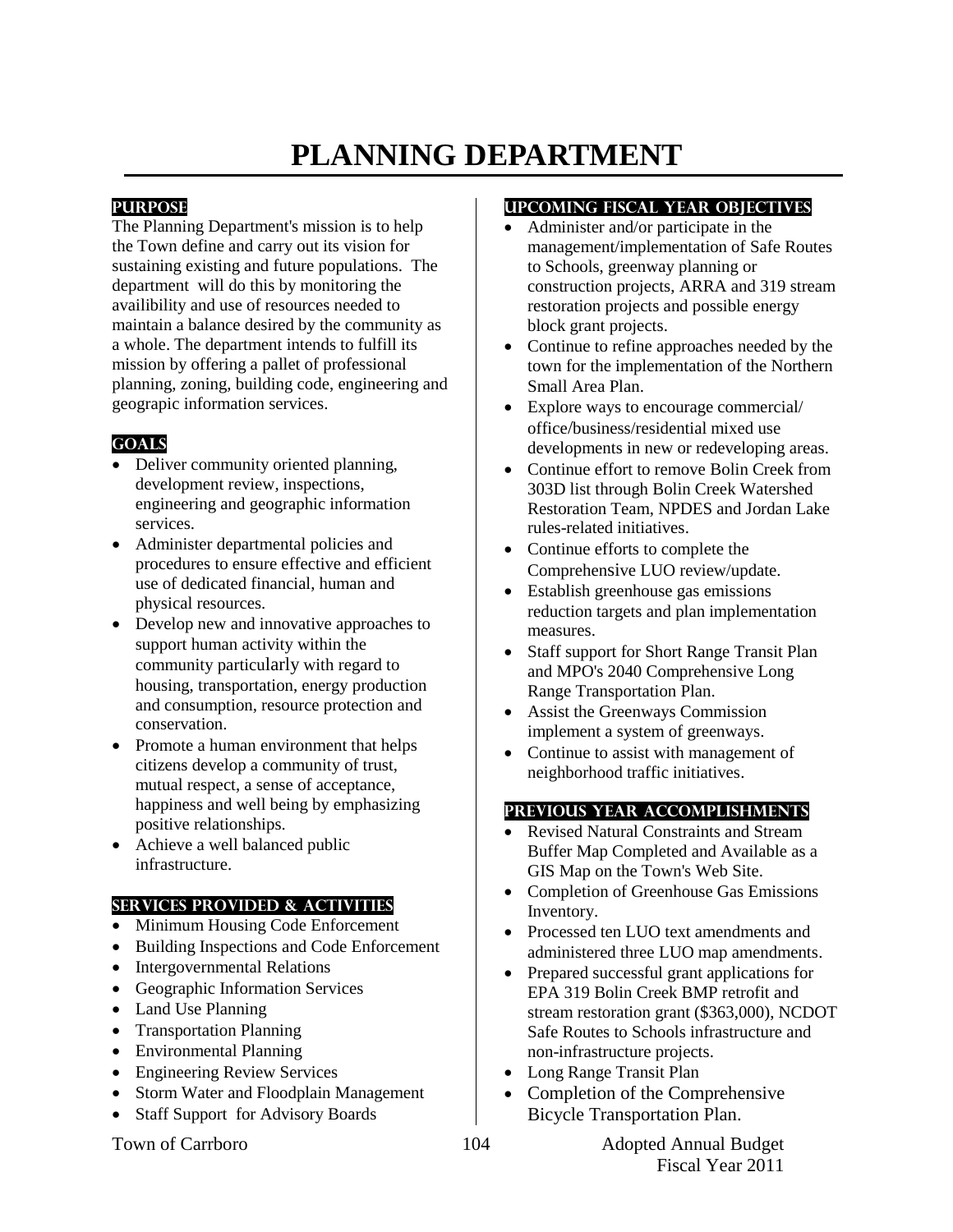# **PLANNING DEPARTMENT**

### **PURPOSE**

The Planning Department's mission is to help the Town define and carry out its vision for sustaining existing and future populations. The department will do this by monitoring the availibility and use of resources needed to maintain a balance desired by the community as a whole. The department intends to fulfill its mission by offering a pallet of professional planning, zoning, building code, engineering and geograpic information services.

# **GOALS**

- Deliver community oriented planning, development review, inspections, engineering and geographic information services.
- Administer departmental policies and procedures to ensure effective and efficient use of dedicated financial, human and physical resources.
- Develop new and innovative approaches to support human activity within the community particularly with regard to housing, transportation, energy production and consumption, resource protection and conservation.
- Promote a human environment that helps citizens develop a community of trust, mutual respect, a sense of acceptance, happiness and well being by emphasizing positive relationships.
- Achieve a well balanced public infrastructure.

#### **SERVICES PROVIDED & ACTIVITIES**

- Minimum Housing Code Enforcement
- Building Inspections and Code Enforcement
- Intergovernmental Relations
- Geographic Information Services
- Land Use Planning
- Transportation Planning
- Environmental Planning
- Engineering Review Services
- Storm Water and Floodplain Management
- Staff Support for Advisory Boards

# **UPCOMING FISCAL YEAR OBJECTIVES**

- Administer and/or participate in the management/implementation of Safe Routes to Schools, greenway planning or construction projects, ARRA and 319 stream restoration projects and possible energy block grant projects.
- Continue to refine approaches needed by the town for the implementation of the Northern Small Area Plan.
- Explore ways to encourage commercial/ office/business/residential mixed use developments in new or redeveloping areas.
- Continue effort to remove Bolin Creek from 303D list through Bolin Creek Watershed Restoration Team, NPDES and Jordan Lake rules-related initiatives.
- Continue efforts to complete the Comprehensive LUO review/update.
- Establish greenhouse gas emissions reduction targets and plan implementation measures.
- Staff support for Short Range Transit Plan and MPO's 2040 Comprehensive Long Range Transportation Plan.
- Assist the Greenways Commission implement a system of greenways.
- Continue to assist with management of neighborhood traffic initiatives.

#### **PREVIOUS YEAR ACCOMPLISHMENTS**

- Revised Natural Constraints and Stream Buffer Map Completed and Available as a GIS Map on the Town's Web Site.
- Completion of Greenhouse Gas Emissions Inventory.
- Processed ten LUO text amendments and administered three LUO map amendments.
- Prepared successful grant applications for EPA 319 Bolin Creek BMP retrofit and stream restoration grant (\$363,000), NCDOT Safe Routes to Schools infrastructure and non-infrastructure projects.
- Long Range Transit Plan
- Completion of the Comprehensive Bicycle Transportation Plan.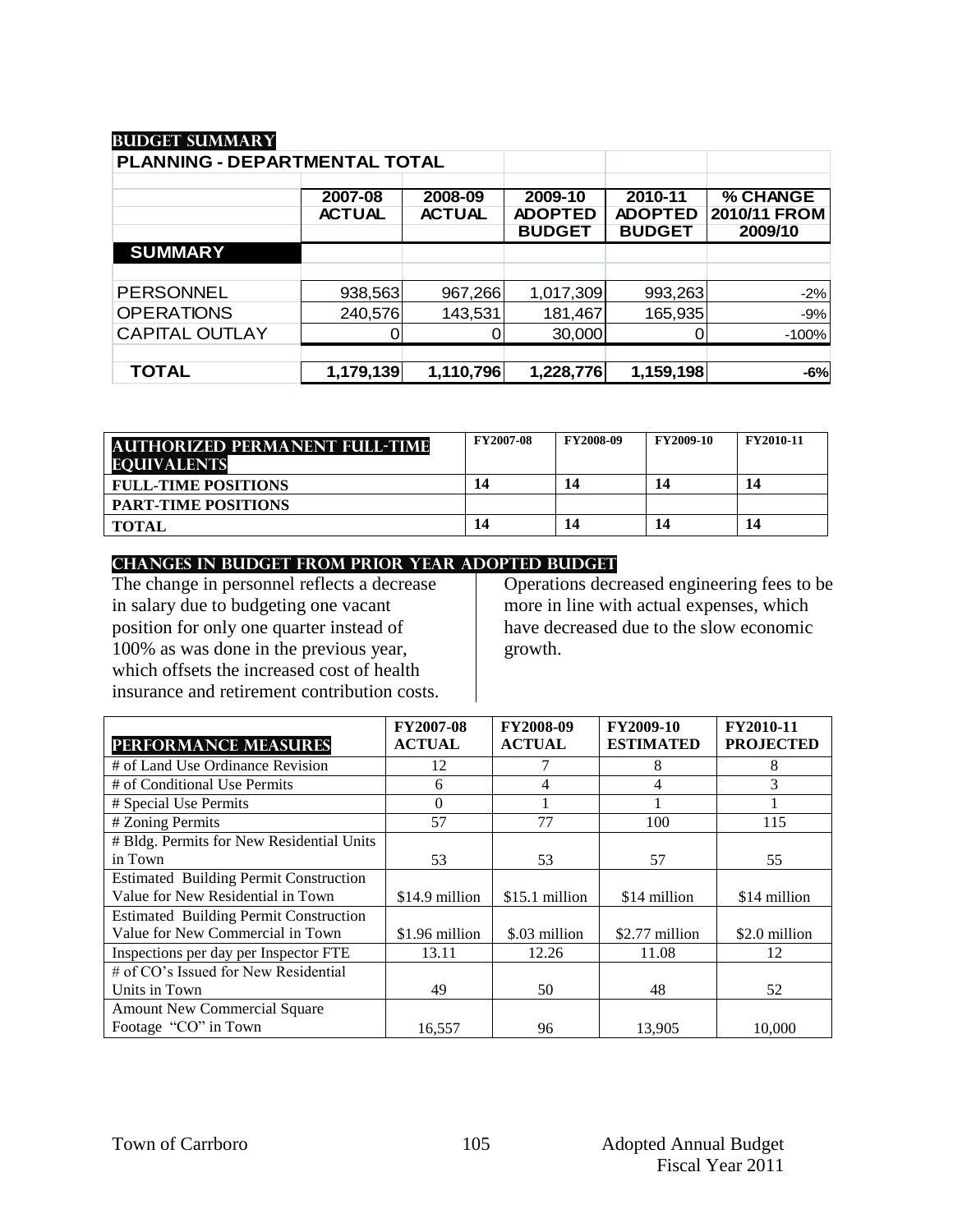# **Budget summary**

| PLANNING - DEPARTMENTAL TOTAL |                          |                          |                                            |                                            |                                     |
|-------------------------------|--------------------------|--------------------------|--------------------------------------------|--------------------------------------------|-------------------------------------|
|                               | 2007-08<br><b>ACTUAL</b> | 2008-09<br><b>ACTUAL</b> | 2009-10<br><b>ADOPTED</b><br><b>BUDGET</b> | 2010-11<br><b>ADOPTED</b><br><b>BUDGET</b> | % CHANGE<br>2010/11 FROM<br>2009/10 |
| <b>SUMMARY</b>                |                          |                          |                                            |                                            |                                     |
|                               |                          |                          |                                            |                                            |                                     |
| <b>PERSONNEL</b>              | 938,563                  | 967,266                  | 1,017,309                                  | 993,263                                    | $-2%$                               |
| <b>OPERATIONS</b>             | 240,576                  | 143,531                  | 181,467                                    | 165,935                                    | $-9%$                               |
| <b>CAPITAL OUTLAY</b>         |                          |                          | 30,000                                     |                                            | $-100%$                             |
|                               |                          |                          |                                            |                                            |                                     |
| <b>TOTAL</b>                  | 1,179,139                | 1,110,796                | 1,228,776                                  | 1,159,198                                  | $-6%$                               |

| <b>AUTHORIZED PERMANENT FULL-TIME</b><br><b>EQUIVALENTS</b> | <b>FY2007-08</b> | <b>FY2008-09</b> | <b>FY2009-10</b> | <b>FY2010-11</b> |
|-------------------------------------------------------------|------------------|------------------|------------------|------------------|
| <b>FULL-TIME POSITIONS</b>                                  | 14               | 14               | 14               | 14               |
| <b>PART-TIME POSITIONS</b>                                  |                  |                  |                  |                  |
| <b>TOTAL</b>                                                | 14               | 14               | 14               | 14               |

#### **CHANGES IN BUDGET from PRIOR YEAR ADOPTED BUDGET**

The change in personnel reflects a decrease in salary due to budgeting one vacant position for only one quarter instead of 100% as was done in the previous year, which offsets the increased cost of health insurance and retirement contribution costs.

Operations decreased engineering fees to be more in line with actual expenses, which have decreased due to the slow economic growth.

|                                               | <b>FY2007-08</b> | <b>FY2008-09</b> | FY2009-10        | FY2010-11        |
|-----------------------------------------------|------------------|------------------|------------------|------------------|
| <b>PERFORMANCE MEASURES</b>                   | <b>ACTUAL</b>    | <b>ACTUAL</b>    | <b>ESTIMATED</b> | <b>PROJECTED</b> |
| # of Land Use Ordinance Revision              | 12               |                  | 8                | 8                |
| # of Conditional Use Permits                  | 6                | 4                | 4                | 3                |
| # Special Use Permits                         | $\Omega$         |                  |                  |                  |
| # Zoning Permits                              | 57               | 77               | 100              | 115              |
| # Bldg. Permits for New Residential Units     |                  |                  |                  |                  |
| in Town                                       | 53               | 53               | 57               | 55               |
| <b>Estimated Building Permit Construction</b> |                  |                  |                  |                  |
| Value for New Residential in Town             | \$14.9 million   | \$15.1 million   | \$14 million     | \$14 million     |
| <b>Estimated Building Permit Construction</b> |                  |                  |                  |                  |
| Value for New Commercial in Town              | \$1.96 million   | \$.03 million    | \$2.77 million   | \$2.0 million    |
| Inspections per day per Inspector FTE         | 13.11            | 12.26            | 11.08            | 12               |
| # of CO's Issued for New Residential          |                  |                  |                  |                  |
| Units in Town                                 | 49               | 50               | 48               | 52               |
| <b>Amount New Commercial Square</b>           |                  |                  |                  |                  |
| Footage "CO" in Town                          | 16,557           | 96               | 13,905           | 10,000           |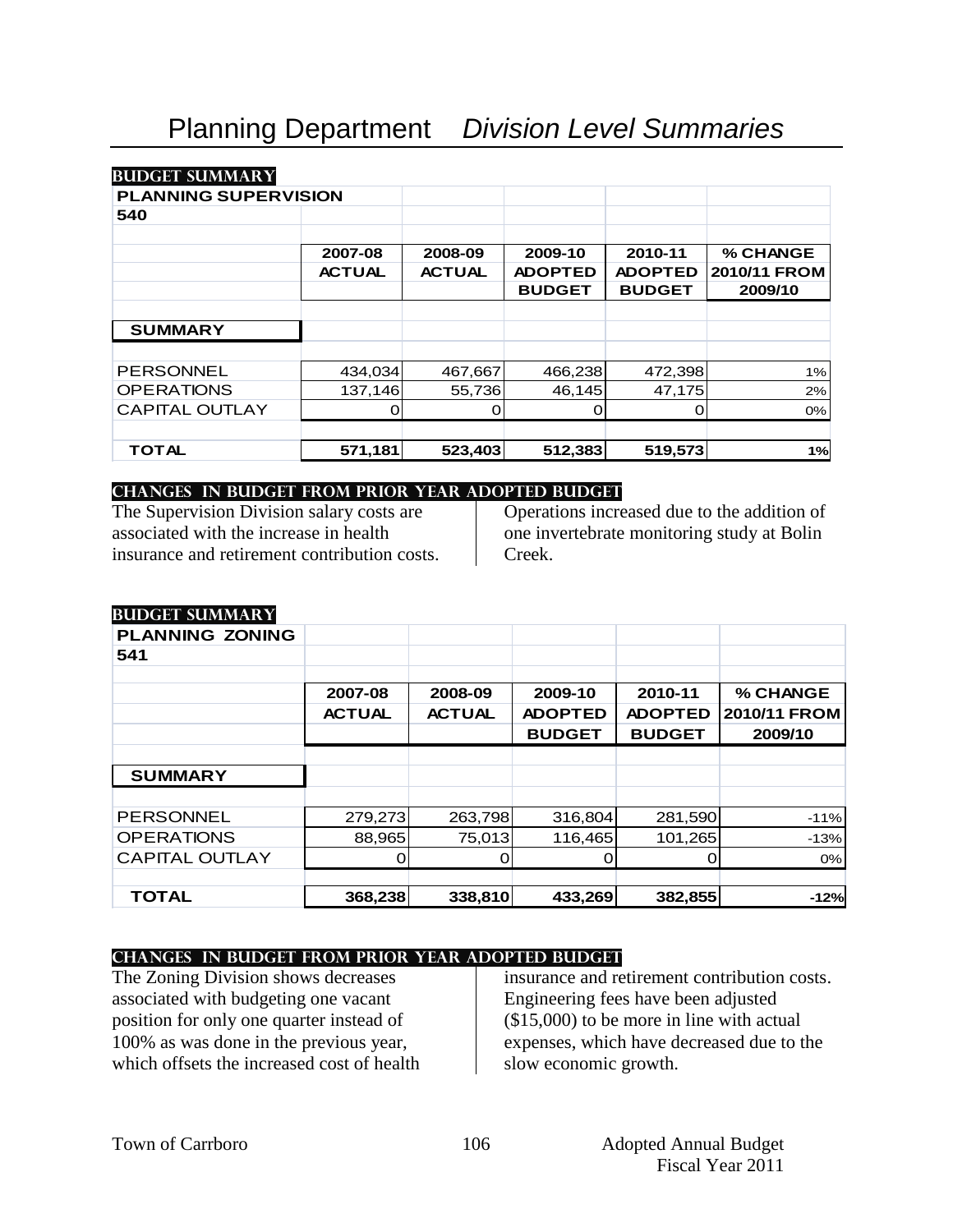#### **Budget summary**

#### **PLANNING SUPERVISION**

| <b>PLANNING SUPERVISION</b> |               |               |                |                |              |
|-----------------------------|---------------|---------------|----------------|----------------|--------------|
| 540                         |               |               |                |                |              |
|                             | 2007-08       | 2008-09       | 2009-10        | 2010-11        | % CHANGE     |
|                             | <b>ACTUAL</b> | <b>ACTUAL</b> | <b>ADOPTED</b> | <b>ADOPTED</b> | 2010/11 FROM |
|                             |               |               | <b>BUDGET</b>  | <b>BUDGET</b>  | 2009/10      |
|                             |               |               |                |                |              |
| <b>SUMMARY</b>              |               |               |                |                |              |
|                             |               |               |                |                |              |
| <b>PERSONNEL</b>            | 434,034       | 467,667       | 466,238        | 472,398        | 1%           |
| <b>OPERATIONS</b>           | 137,146       | 55,736        | 46,145         | 47,175         | 2%           |
| <b>CAPITAL OUTLAY</b>       |               |               | 0              |                | 0%           |
|                             |               |               |                |                |              |
| TOTAL                       | 571,181       | 523,403       | 512,383        | 519,573        | 1%           |

#### **changes in budget from prior year adopted budget**

The Supervision Division salary costs are associated with the increase in health insurance and retirement contribution costs.

Operations increased due to the addition of one invertebrate monitoring study at Bolin Creek.

#### **Budget summary**

| $\frac{1}{2}$          |               |               |                |                |              |
|------------------------|---------------|---------------|----------------|----------------|--------------|
| <b>PLANNING ZONING</b> |               |               |                |                |              |
| 541                    |               |               |                |                |              |
|                        |               |               |                |                |              |
|                        | 2007-08       | 2008-09       | 2009-10        | 2010-11        | % CHANGE     |
|                        | <b>ACTUAL</b> | <b>ACTUAL</b> | <b>ADOPTED</b> | <b>ADOPTED</b> | 2010/11 FROM |
|                        |               |               | <b>BUDGET</b>  | <b>BUDGET</b>  | 2009/10      |
|                        |               |               |                |                |              |
| <b>SUMMARY</b>         |               |               |                |                |              |
|                        |               |               |                |                |              |
| <b>PERSONNEL</b>       | 279,273       | 263,798       | 316,804        | 281,590        | $-11%$       |
| <b>OPERATIONS</b>      | 88,965        | 75,013        | 116,465        | 101,265        | $-13%$       |
| <b>CAPITAL OUTLAY</b>  |               |               |                |                | 0%           |
|                        |               |               |                |                |              |
| <b>TOTAL</b>           | 368,238       | 338,810       | 433,269        | 382,855        | $-12%$       |

#### **changes in budget from prior year adopted budget**

The Zoning Division shows decreases associated with budgeting one vacant position for only one quarter instead of 100% as was done in the previous year, which offsets the increased cost of health

insurance and retirement contribution costs. Engineering fees have been adjusted (\$15,000) to be more in line with actual expenses, which have decreased due to the slow economic growth.